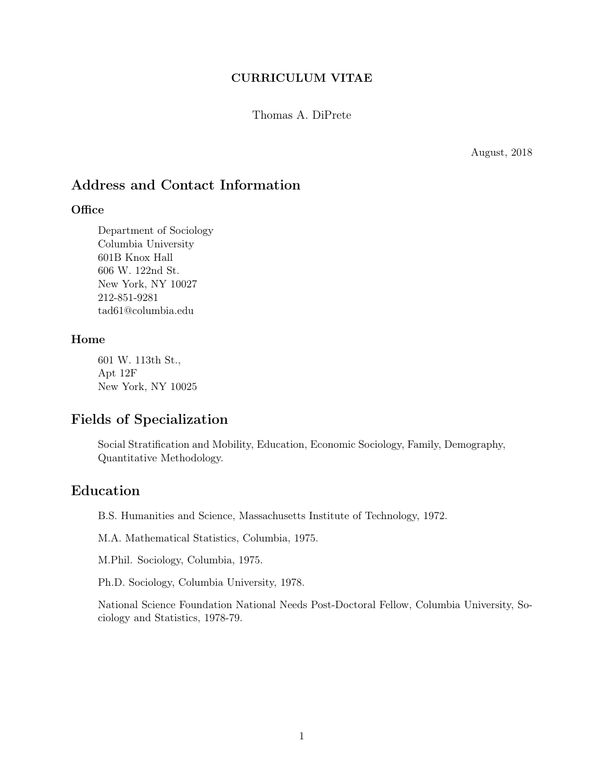### CURRICULUM VITAE

Thomas A. DiPrete

August, 2018

## Address and Contact Information

#### **Office**

Department of Sociology Columbia University 601B Knox Hall 606 W. 122nd St. New York, NY 10027 212-851-9281 tad61@columbia.edu

### Home

601 W. 113th St., Apt 12F New York, NY 10025

# Fields of Specialization

Social Stratification and Mobility, Education, Economic Sociology, Family, Demography, Quantitative Methodology.

## Education

B.S. Humanities and Science, Massachusetts Institute of Technology, 1972.

M.A. Mathematical Statistics, Columbia, 1975.

M.Phil. Sociology, Columbia, 1975.

Ph.D. Sociology, Columbia University, 1978.

National Science Foundation National Needs Post-Doctoral Fellow, Columbia University, Sociology and Statistics, 1978-79.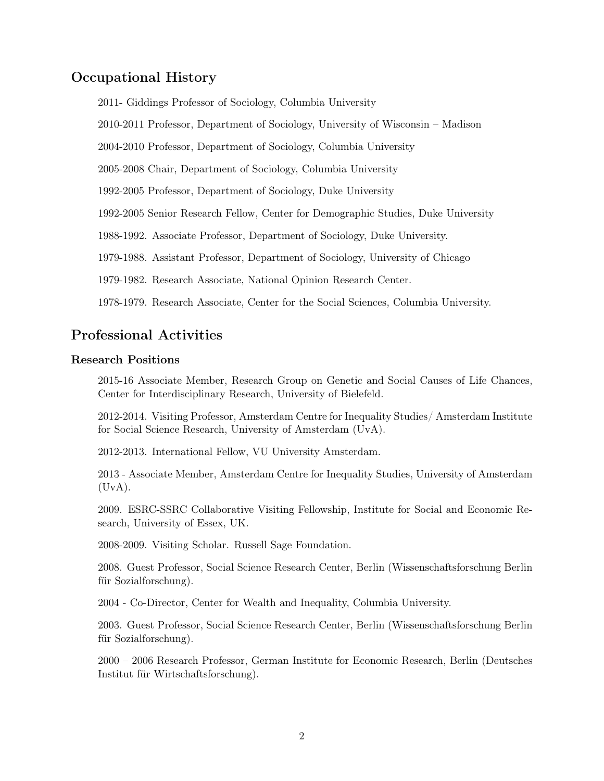## Occupational History

2011- Giddings Professor of Sociology, Columbia University

2010-2011 Professor, Department of Sociology, University of Wisconsin – Madison

2004-2010 Professor, Department of Sociology, Columbia University

2005-2008 Chair, Department of Sociology, Columbia University

1992-2005 Professor, Department of Sociology, Duke University

1992-2005 Senior Research Fellow, Center for Demographic Studies, Duke University

1988-1992. Associate Professor, Department of Sociology, Duke University.

1979-1988. Assistant Professor, Department of Sociology, University of Chicago

1979-1982. Research Associate, National Opinion Research Center.

1978-1979. Research Associate, Center for the Social Sciences, Columbia University.

### Professional Activities

### Research Positions

2015-16 Associate Member, Research Group on Genetic and Social Causes of Life Chances, Center for Interdisciplinary Research, University of Bielefeld.

2012-2014. Visiting Professor, Amsterdam Centre for Inequality Studies/ Amsterdam Institute for Social Science Research, University of Amsterdam (UvA).

2012-2013. International Fellow, VU University Amsterdam.

2013 - Associate Member, Amsterdam Centre for Inequality Studies, University of Amsterdam  $(UvA).$ 

2009. ESRC-SSRC Collaborative Visiting Fellowship, Institute for Social and Economic Research, University of Essex, UK.

2008-2009. Visiting Scholar. Russell Sage Foundation.

2008. Guest Professor, Social Science Research Center, Berlin (Wissenschaftsforschung Berlin für Sozialforschung).

2004 - Co-Director, Center for Wealth and Inequality, Columbia University.

2003. Guest Professor, Social Science Research Center, Berlin (Wissenschaftsforschung Berlin für Sozialforschung).

2000 – 2006 Research Professor, German Institute for Economic Research, Berlin (Deutsches Institut für Wirtschaftsforschung).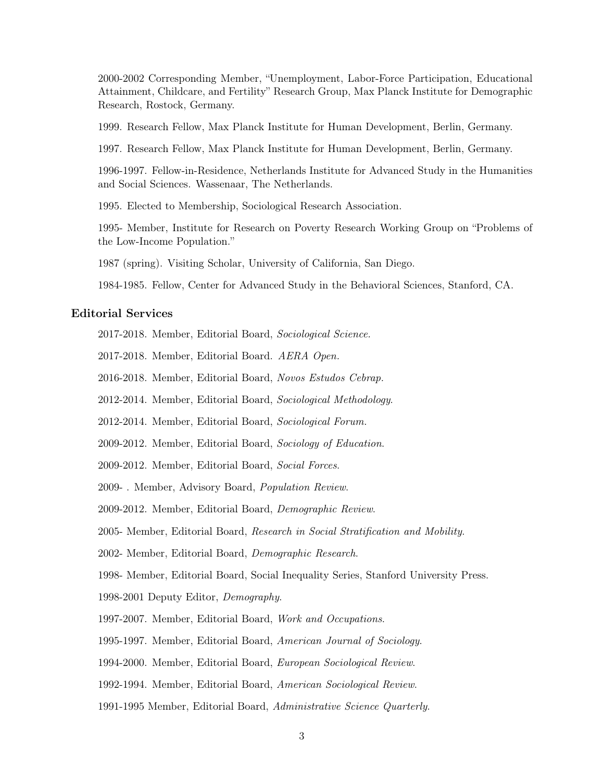2000-2002 Corresponding Member, "Unemployment, Labor-Force Participation, Educational Attainment, Childcare, and Fertility" Research Group, Max Planck Institute for Demographic Research, Rostock, Germany.

1999. Research Fellow, Max Planck Institute for Human Development, Berlin, Germany.

1997. Research Fellow, Max Planck Institute for Human Development, Berlin, Germany.

1996-1997. Fellow-in-Residence, Netherlands Institute for Advanced Study in the Humanities and Social Sciences. Wassenaar, The Netherlands.

1995. Elected to Membership, Sociological Research Association.

1995- Member, Institute for Research on Poverty Research Working Group on "Problems of the Low-Income Population."

1987 (spring). Visiting Scholar, University of California, San Diego.

1984-1985. Fellow, Center for Advanced Study in the Behavioral Sciences, Stanford, CA.

#### Editorial Services

- 2017-2018. Member, Editorial Board, Sociological Science.
- 2017-2018. Member, Editorial Board. AERA Open.
- 2016-2018. Member, Editorial Board, Novos Estudos Cebrap.
- 2012-2014. Member, Editorial Board, Sociological Methodology.
- 2012-2014. Member, Editorial Board, Sociological Forum.
- 2009-2012. Member, Editorial Board, Sociology of Education.
- 2009-2012. Member, Editorial Board, Social Forces.
- 2009- . Member, Advisory Board, Population Review.
- 2009-2012. Member, Editorial Board, Demographic Review.
- 2005- Member, Editorial Board, Research in Social Stratification and Mobility.
- 2002- Member, Editorial Board, Demographic Research.

1998- Member, Editorial Board, Social Inequality Series, Stanford University Press.

- 1998-2001 Deputy Editor, Demography.
- 1997-2007. Member, Editorial Board, Work and Occupations.
- 1995-1997. Member, Editorial Board, American Journal of Sociology.
- 1994-2000. Member, Editorial Board, European Sociological Review.
- 1992-1994. Member, Editorial Board, American Sociological Review.
- 1991-1995 Member, Editorial Board, Administrative Science Quarterly.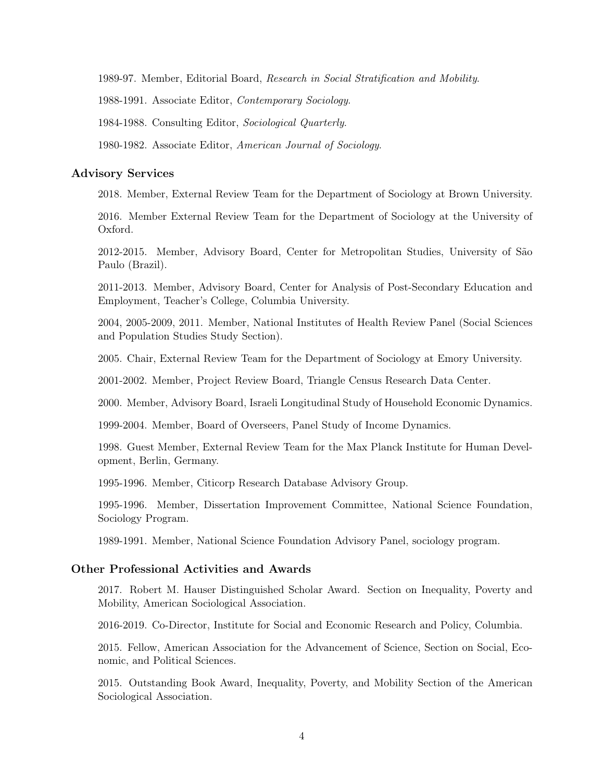1989-97. Member, Editorial Board, Research in Social Stratification and Mobility.

1988-1991. Associate Editor, Contemporary Sociology.

1984-1988. Consulting Editor, Sociological Quarterly.

1980-1982. Associate Editor, American Journal of Sociology.

#### Advisory Services

2018. Member, External Review Team for the Department of Sociology at Brown University.

2016. Member External Review Team for the Department of Sociology at the University of Oxford.

2012-2015. Member, Advisory Board, Center for Metropolitan Studies, University of São Paulo (Brazil).

2011-2013. Member, Advisory Board, Center for Analysis of Post-Secondary Education and Employment, Teacher's College, Columbia University.

2004, 2005-2009, 2011. Member, National Institutes of Health Review Panel (Social Sciences and Population Studies Study Section).

2005. Chair, External Review Team for the Department of Sociology at Emory University.

2001-2002. Member, Project Review Board, Triangle Census Research Data Center.

2000. Member, Advisory Board, Israeli Longitudinal Study of Household Economic Dynamics.

1999-2004. Member, Board of Overseers, Panel Study of Income Dynamics.

1998. Guest Member, External Review Team for the Max Planck Institute for Human Development, Berlin, Germany.

1995-1996. Member, Citicorp Research Database Advisory Group.

1995-1996. Member, Dissertation Improvement Committee, National Science Foundation, Sociology Program.

1989-1991. Member, National Science Foundation Advisory Panel, sociology program.

#### Other Professional Activities and Awards

2017. Robert M. Hauser Distinguished Scholar Award. Section on Inequality, Poverty and Mobility, American Sociological Association.

2016-2019. Co-Director, Institute for Social and Economic Research and Policy, Columbia.

2015. Fellow, American Association for the Advancement of Science, Section on Social, Economic, and Political Sciences.

2015. Outstanding Book Award, Inequality, Poverty, and Mobility Section of the American Sociological Association.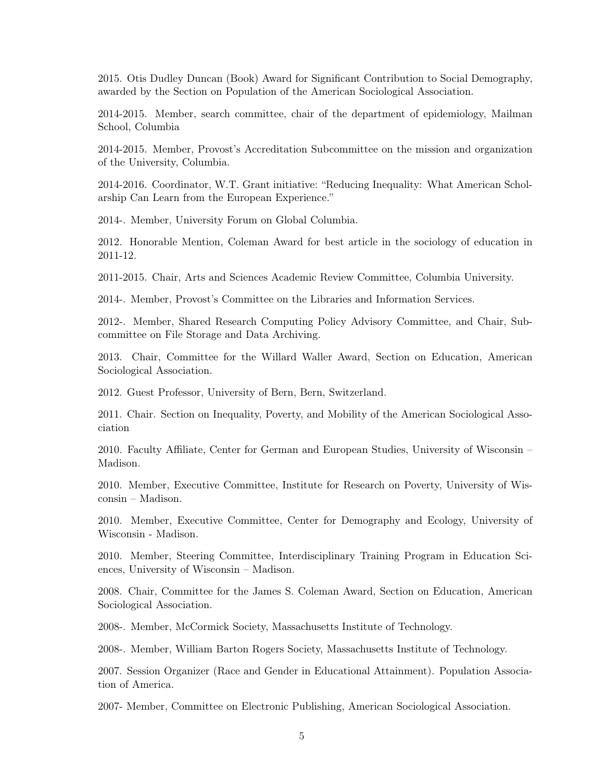2015. Otis Dudley Duncan (Book) Award for Significant Contribution to Social Demography, awarded by the Section on Population of the American Sociological Association.

2014-2015. Member, search committee, chair of the department of epidemiology, Mailman School, Columbia

2014-2015. Member, Provost's Accreditation Subcommittee on the mission and organization of the University, Columbia.

2014-2016. Coordinator, W.T. Grant initiative: "Reducing Inequality: What American Scholarship Can Learn from the European Experience."

2014-. Member, University Forum on Global Columbia.

2012. Honorable Mention, Coleman Award for best article in the sociology of education in 2011-12.

2011-2015. Chair, Arts and Sciences Academic Review Committee, Columbia University.

2014-. Member, Provost's Committee on the Libraries and Information Services.

2012-. Member, Shared Research Computing Policy Advisory Committee, and Chair, Subcommittee on File Storage and Data Archiving.

2013. Chair, Committee for the Willard Waller Award, Section on Education, American Sociological Association.

2012. Guest Professor, University of Bern, Bern, Switzerland.

2011. Chair. Section on Inequality, Poverty, and Mobility of the American Sociological Association

2010. Faculty Affiliate, Center for German and European Studies, University of Wisconsin – Madison.

2010. Member, Executive Committee, Institute for Research on Poverty, University of Wisconsin – Madison.

2010. Member, Executive Committee, Center for Demography and Ecology, University of Wisconsin - Madison.

2010. Member, Steering Committee, Interdisciplinary Training Program in Education Sciences, University of Wisconsin – Madison.

2008. Chair, Committee for the James S. Coleman Award, Section on Education, American Sociological Association.

2008-. Member, McCormick Society, Massachusetts Institute of Technology.

2008-. Member, William Barton Rogers Society, Massachusetts Institute of Technology.

2007. Session Organizer (Race and Gender in Educational Attainment). Population Association of America.

2007- Member, Committee on Electronic Publishing, American Sociological Association.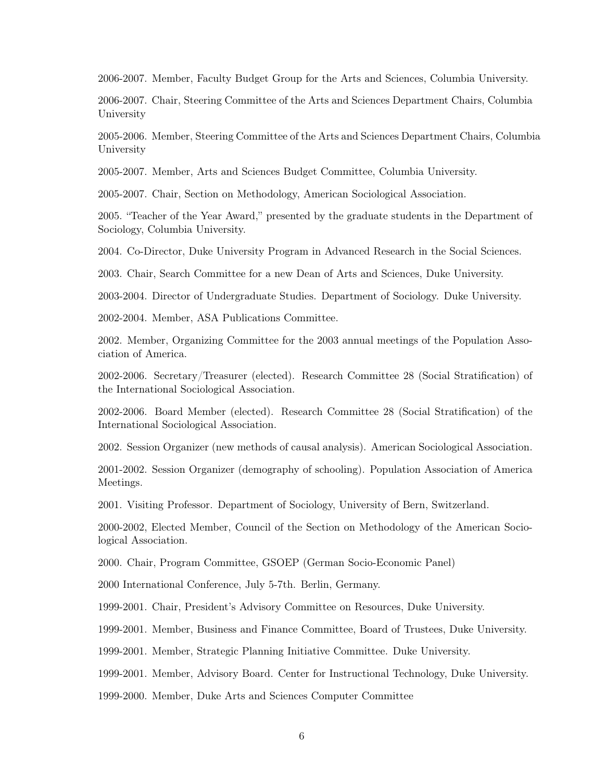2006-2007. Member, Faculty Budget Group for the Arts and Sciences, Columbia University.

2006-2007. Chair, Steering Committee of the Arts and Sciences Department Chairs, Columbia University

2005-2006. Member, Steering Committee of the Arts and Sciences Department Chairs, Columbia University

2005-2007. Member, Arts and Sciences Budget Committee, Columbia University.

2005-2007. Chair, Section on Methodology, American Sociological Association.

2005. "Teacher of the Year Award," presented by the graduate students in the Department of Sociology, Columbia University.

2004. Co-Director, Duke University Program in Advanced Research in the Social Sciences.

2003. Chair, Search Committee for a new Dean of Arts and Sciences, Duke University.

2003-2004. Director of Undergraduate Studies. Department of Sociology. Duke University.

2002-2004. Member, ASA Publications Committee.

2002. Member, Organizing Committee for the 2003 annual meetings of the Population Association of America.

2002-2006. Secretary/Treasurer (elected). Research Committee 28 (Social Stratification) of the International Sociological Association.

2002-2006. Board Member (elected). Research Committee 28 (Social Stratification) of the International Sociological Association.

2002. Session Organizer (new methods of causal analysis). American Sociological Association.

2001-2002. Session Organizer (demography of schooling). Population Association of America Meetings.

2001. Visiting Professor. Department of Sociology, University of Bern, Switzerland.

2000-2002, Elected Member, Council of the Section on Methodology of the American Sociological Association.

2000. Chair, Program Committee, GSOEP (German Socio-Economic Panel)

2000 International Conference, July 5-7th. Berlin, Germany.

1999-2001. Chair, President's Advisory Committee on Resources, Duke University.

1999-2001. Member, Business and Finance Committee, Board of Trustees, Duke University.

1999-2001. Member, Strategic Planning Initiative Committee. Duke University.

1999-2001. Member, Advisory Board. Center for Instructional Technology, Duke University.

1999-2000. Member, Duke Arts and Sciences Computer Committee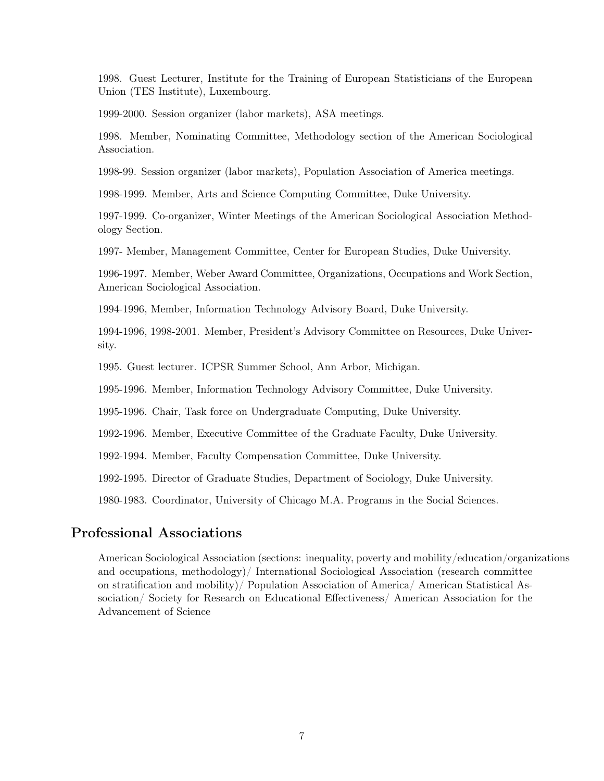1998. Guest Lecturer, Institute for the Training of European Statisticians of the European Union (TES Institute), Luxembourg.

1999-2000. Session organizer (labor markets), ASA meetings.

1998. Member, Nominating Committee, Methodology section of the American Sociological Association.

1998-99. Session organizer (labor markets), Population Association of America meetings.

1998-1999. Member, Arts and Science Computing Committee, Duke University.

1997-1999. Co-organizer, Winter Meetings of the American Sociological Association Methodology Section.

1997- Member, Management Committee, Center for European Studies, Duke University.

1996-1997. Member, Weber Award Committee, Organizations, Occupations and Work Section, American Sociological Association.

1994-1996, Member, Information Technology Advisory Board, Duke University.

1994-1996, 1998-2001. Member, President's Advisory Committee on Resources, Duke University.

1995. Guest lecturer. ICPSR Summer School, Ann Arbor, Michigan.

1995-1996. Member, Information Technology Advisory Committee, Duke University.

1995-1996. Chair, Task force on Undergraduate Computing, Duke University.

1992-1996. Member, Executive Committee of the Graduate Faculty, Duke University.

1992-1994. Member, Faculty Compensation Committee, Duke University.

1992-1995. Director of Graduate Studies, Department of Sociology, Duke University.

1980-1983. Coordinator, University of Chicago M.A. Programs in the Social Sciences.

## Professional Associations

American Sociological Association (sections: inequality, poverty and mobility/education/organizations and occupations, methodology)/ International Sociological Association (research committee on stratification and mobility)/ Population Association of America/ American Statistical Association/ Society for Research on Educational Effectiveness/ American Association for the Advancement of Science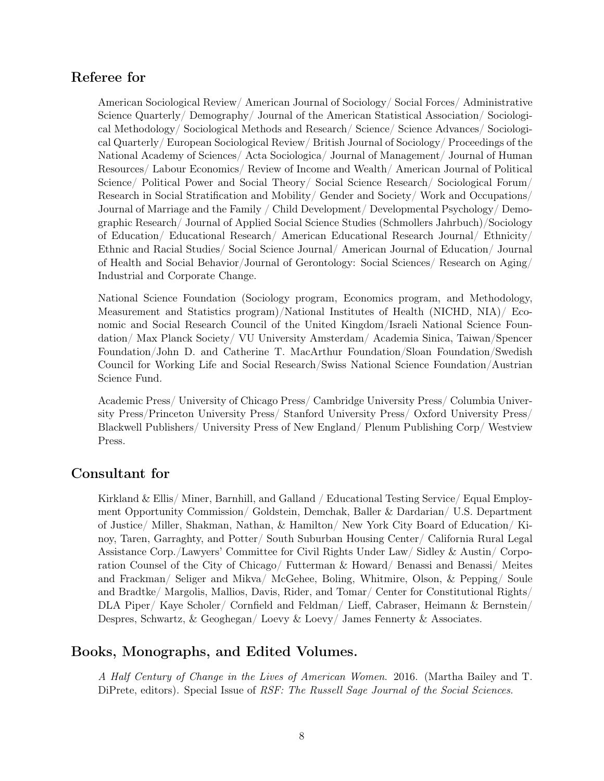# Referee for

American Sociological Review/ American Journal of Sociology/ Social Forces/ Administrative Science Quarterly/ Demography/ Journal of the American Statistical Association/ Sociological Methodology/ Sociological Methods and Research/ Science/ Science Advances/ Sociological Quarterly/ European Sociological Review/ British Journal of Sociology/ Proceedings of the National Academy of Sciences/ Acta Sociologica/ Journal of Management/ Journal of Human Resources/ Labour Economics/ Review of Income and Wealth/ American Journal of Political Science/ Political Power and Social Theory/ Social Science Research/ Sociological Forum/ Research in Social Stratification and Mobility/ Gender and Society/ Work and Occupations/ Journal of Marriage and the Family / Child Development/ Developmental Psychology/ Demographic Research/ Journal of Applied Social Science Studies (Schmollers Jahrbuch)/Sociology of Education/ Educational Research/ American Educational Research Journal/ Ethnicity/ Ethnic and Racial Studies/ Social Science Journal/ American Journal of Education/ Journal of Health and Social Behavior/Journal of Gerontology: Social Sciences/ Research on Aging/ Industrial and Corporate Change.

National Science Foundation (Sociology program, Economics program, and Methodology, Measurement and Statistics program)/National Institutes of Health (NICHD, NIA)/ Economic and Social Research Council of the United Kingdom/Israeli National Science Foundation/ Max Planck Society/ VU University Amsterdam/ Academia Sinica, Taiwan/Spencer Foundation/John D. and Catherine T. MacArthur Foundation/Sloan Foundation/Swedish Council for Working Life and Social Research/Swiss National Science Foundation/Austrian Science Fund.

Academic Press/ University of Chicago Press/ Cambridge University Press/ Columbia University Press/Princeton University Press/ Stanford University Press/ Oxford University Press/ Blackwell Publishers/ University Press of New England/ Plenum Publishing Corp/ Westview Press.

# Consultant for

Kirkland & Ellis/ Miner, Barnhill, and Galland / Educational Testing Service/ Equal Employment Opportunity Commission/ Goldstein, Demchak, Baller & Dardarian/ U.S. Department of Justice/ Miller, Shakman, Nathan, & Hamilton/ New York City Board of Education/ Kinoy, Taren, Garraghty, and Potter/ South Suburban Housing Center/ California Rural Legal Assistance Corp./Lawyers' Committee for Civil Rights Under Law/ Sidley & Austin/ Corporation Counsel of the City of Chicago/ Futterman & Howard/ Benassi and Benassi/ Meites and Frackman/ Seliger and Mikva/ McGehee, Boling, Whitmire, Olson, & Pepping/ Soule and Bradtke/ Margolis, Mallios, Davis, Rider, and Tomar/ Center for Constitutional Rights/ DLA Piper/ Kaye Scholer/ Cornfield and Feldman/ Lieff, Cabraser, Heimann & Bernstein/ Despres, Schwartz, & Geoghegan/ Loevy & Loevy/ James Fennerty & Associates.

## Books, Monographs, and Edited Volumes.

A Half Century of Change in the Lives of American Women. 2016. (Martha Bailey and T. DiPrete, editors). Special Issue of *RSF: The Russell Sage Journal of the Social Sciences*.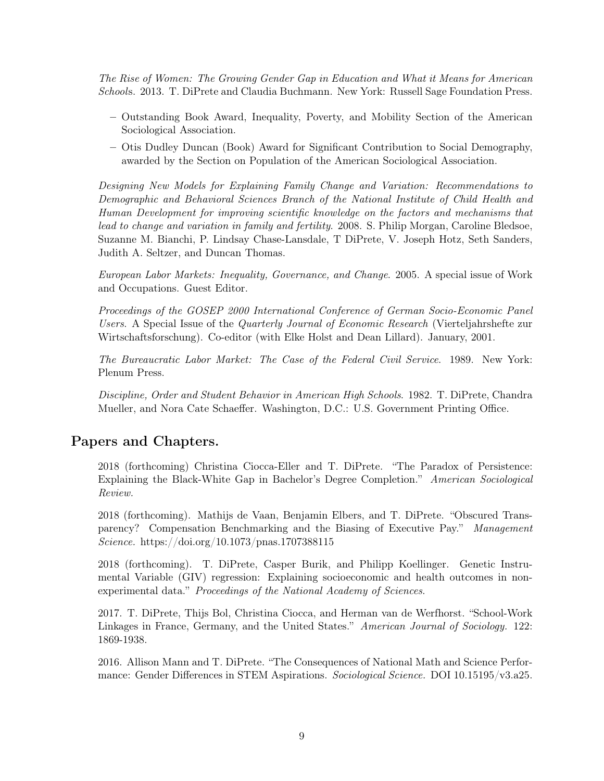The Rise of Women: The Growing Gender Gap in Education and What it Means for American Schools. 2013. T. DiPrete and Claudia Buchmann. New York: Russell Sage Foundation Press.

- Outstanding Book Award, Inequality, Poverty, and Mobility Section of the American Sociological Association.
- Otis Dudley Duncan (Book) Award for Significant Contribution to Social Demography, awarded by the Section on Population of the American Sociological Association.

Designing New Models for Explaining Family Change and Variation: Recommendations to Demographic and Behavioral Sciences Branch of the National Institute of Child Health and Human Development for improving scientific knowledge on the factors and mechanisms that lead to change and variation in family and fertility. 2008. S. Philip Morgan, Caroline Bledsoe, Suzanne M. Bianchi, P. Lindsay Chase-Lansdale, T DiPrete, V. Joseph Hotz, Seth Sanders, Judith A. Seltzer, and Duncan Thomas.

European Labor Markets: Inequality, Governance, and Change. 2005. A special issue of Work and Occupations. Guest Editor.

Proceedings of the GOSEP 2000 International Conference of German Socio-Economic Panel Users. A Special Issue of the Quarterly Journal of Economic Research (Vierteljahrshefte zur Wirtschaftsforschung). Co-editor (with Elke Holst and Dean Lillard). January, 2001.

The Bureaucratic Labor Market: The Case of the Federal Civil Service. 1989. New York: Plenum Press.

Discipline, Order and Student Behavior in American High Schools. 1982. T. DiPrete, Chandra Mueller, and Nora Cate Schaeffer. Washington, D.C.: U.S. Government Printing Office.

## Papers and Chapters.

2018 (forthcoming) Christina Ciocca-Eller and T. DiPrete. "The Paradox of Persistence: Explaining the Black-White Gap in Bachelor's Degree Completion." American Sociological Review.

2018 (forthcoming). Mathijs de Vaan, Benjamin Elbers, and T. DiPrete. "Obscured Transparency? Compensation Benchmarking and the Biasing of Executive Pay." Management Science. https://doi.org/10.1073/pnas.1707388115

2018 (forthcoming). T. DiPrete, Casper Burik, and Philipp Koellinger. Genetic Instrumental Variable (GIV) regression: Explaining socioeconomic and health outcomes in nonexperimental data." Proceedings of the National Academy of Sciences.

2017. T. DiPrete, Thijs Bol, Christina Ciocca, and Herman van de Werfhorst. "School-Work Linkages in France, Germany, and the United States." American Journal of Sociology. 122: 1869-1938.

2016. Allison Mann and T. DiPrete. "The Consequences of National Math and Science Performance: Gender Differences in STEM Aspirations. Sociological Science. DOI 10.15195/v3.a25.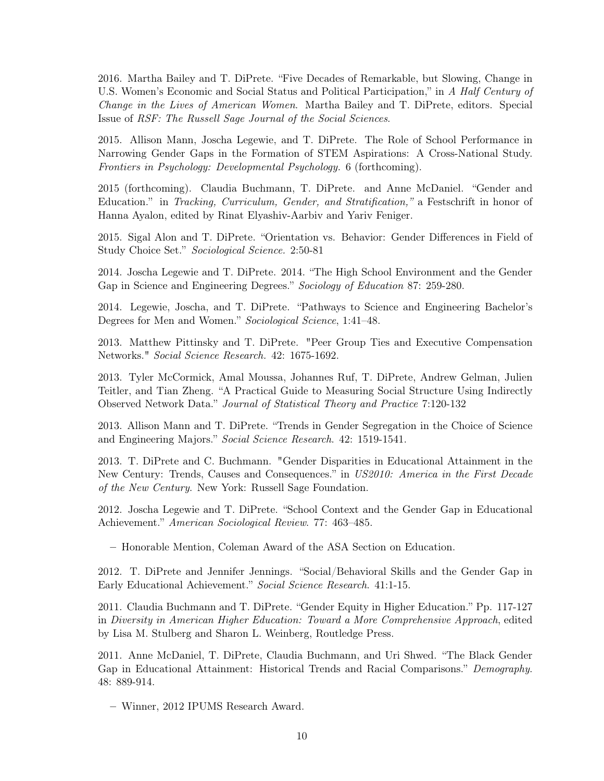2016. Martha Bailey and T. DiPrete. "Five Decades of Remarkable, but Slowing, Change in U.S. Women's Economic and Social Status and Political Participation," in A Half Century of Change in the Lives of American Women. Martha Bailey and T. DiPrete, editors. Special Issue of RSF: The Russell Sage Journal of the Social Sciences.

2015. Allison Mann, Joscha Legewie, and T. DiPrete. The Role of School Performance in Narrowing Gender Gaps in the Formation of STEM Aspirations: A Cross-National Study. Frontiers in Psychology: Developmental Psychology. 6 (forthcoming).

2015 (forthcoming). Claudia Buchmann, T. DiPrete. and Anne McDaniel. "Gender and Education." in Tracking, Curriculum, Gender, and Stratification," a Festschrift in honor of Hanna Ayalon, edited by Rinat Elyashiv-Aarbiv and Yariv Feniger.

2015. Sigal Alon and T. DiPrete. "Orientation vs. Behavior: Gender Differences in Field of Study Choice Set." Sociological Science. 2:50-81

2014. Joscha Legewie and T. DiPrete. 2014. "The High School Environment and the Gender Gap in Science and Engineering Degrees." Sociology of Education 87: 259-280.

2014. Legewie, Joscha, and T. DiPrete. "Pathways to Science and Engineering Bachelor's Degrees for Men and Women." Sociological Science, 1:41–48.

2013. Matthew Pittinsky and T. DiPrete. "Peer Group Ties and Executive Compensation Networks." Social Science Research. 42: 1675-1692.

2013. Tyler McCormick, Amal Moussa, Johannes Ruf, T. DiPrete, Andrew Gelman, Julien Teitler, and Tian Zheng. "A Practical Guide to Measuring Social Structure Using Indirectly Observed Network Data." Journal of Statistical Theory and Practice 7:120-132

2013. Allison Mann and T. DiPrete. "Trends in Gender Segregation in the Choice of Science and Engineering Majors." Social Science Research. 42: 1519-1541.

2013. T. DiPrete and C. Buchmann. "Gender Disparities in Educational Attainment in the New Century: Trends, Causes and Consequences." in US2010: America in the First Decade of the New Century. New York: Russell Sage Foundation.

2012. Joscha Legewie and T. DiPrete. "School Context and the Gender Gap in Educational Achievement." American Sociological Review. 77: 463–485.

– Honorable Mention, Coleman Award of the ASA Section on Education.

2012. T. DiPrete and Jennifer Jennings. "Social/Behavioral Skills and the Gender Gap in Early Educational Achievement." Social Science Research. 41:1-15.

2011. Claudia Buchmann and T. DiPrete. "Gender Equity in Higher Education." Pp. 117-127 in Diversity in American Higher Education: Toward a More Comprehensive Approach, edited by Lisa M. Stulberg and Sharon L. Weinberg, Routledge Press.

2011. Anne McDaniel, T. DiPrete, Claudia Buchmann, and Uri Shwed. "The Black Gender Gap in Educational Attainment: Historical Trends and Racial Comparisons." Demography. 48: 889-914.

– Winner, 2012 IPUMS Research Award.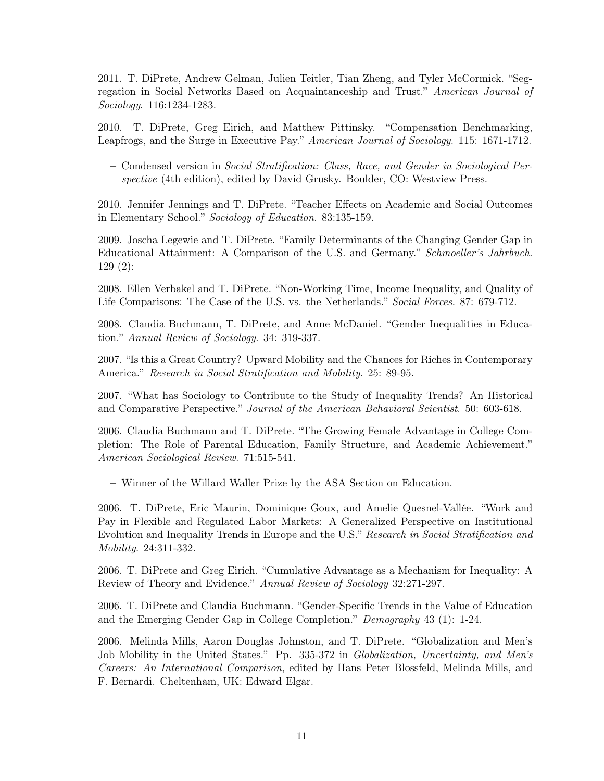2011. T. DiPrete, Andrew Gelman, Julien Teitler, Tian Zheng, and Tyler McCormick. "Segregation in Social Networks Based on Acquaintanceship and Trust." American Journal of Sociology. 116:1234-1283.

2010. T. DiPrete, Greg Eirich, and Matthew Pittinsky. "Compensation Benchmarking, Leapfrogs, and the Surge in Executive Pay." American Journal of Sociology. 115: 1671-1712.

– Condensed version in Social Stratification: Class, Race, and Gender in Sociological Perspective (4th edition), edited by David Grusky. Boulder, CO: Westview Press.

2010. Jennifer Jennings and T. DiPrete. "Teacher Effects on Academic and Social Outcomes in Elementary School." Sociology of Education. 83:135-159.

2009. Joscha Legewie and T. DiPrete. "Family Determinants of the Changing Gender Gap in Educational Attainment: A Comparison of the U.S. and Germany." Schmoeller's Jahrbuch. 129 (2):

2008. Ellen Verbakel and T. DiPrete. "Non-Working Time, Income Inequality, and Quality of Life Comparisons: The Case of the U.S. vs. the Netherlands." Social Forces. 87: 679-712.

2008. Claudia Buchmann, T. DiPrete, and Anne McDaniel. "Gender Inequalities in Education." Annual Review of Sociology. 34: 319-337.

2007. "Is this a Great Country? Upward Mobility and the Chances for Riches in Contemporary America." Research in Social Stratification and Mobility. 25: 89-95.

2007. "What has Sociology to Contribute to the Study of Inequality Trends? An Historical and Comparative Perspective." Journal of the American Behavioral Scientist. 50: 603-618.

2006. Claudia Buchmann and T. DiPrete. "The Growing Female Advantage in College Completion: The Role of Parental Education, Family Structure, and Academic Achievement." American Sociological Review. 71:515-541.

– Winner of the Willard Waller Prize by the ASA Section on Education.

2006. T. DiPrete, Eric Maurin, Dominique Goux, and Amelie Quesnel-Vallée. "Work and Pay in Flexible and Regulated Labor Markets: A Generalized Perspective on Institutional Evolution and Inequality Trends in Europe and the U.S." Research in Social Stratification and Mobility. 24:311-332.

2006. T. DiPrete and Greg Eirich. "Cumulative Advantage as a Mechanism for Inequality: A Review of Theory and Evidence." Annual Review of Sociology 32:271-297.

2006. T. DiPrete and Claudia Buchmann. "Gender-Specific Trends in the Value of Education and the Emerging Gender Gap in College Completion." Demography 43 (1): 1-24.

2006. Melinda Mills, Aaron Douglas Johnston, and T. DiPrete. "Globalization and Men's Job Mobility in the United States." Pp. 335-372 in Globalization, Uncertainty, and Men's Careers: An International Comparison, edited by Hans Peter Blossfeld, Melinda Mills, and F. Bernardi. Cheltenham, UK: Edward Elgar.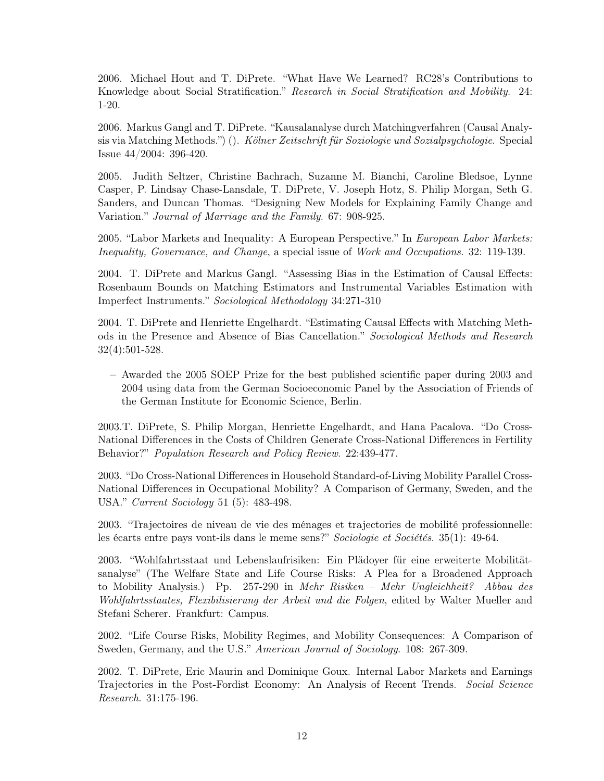2006. Michael Hout and T. DiPrete. "What Have We Learned? RC28's Contributions to Knowledge about Social Stratification." Research in Social Stratification and Mobility. 24: 1-20.

2006. Markus Gangl and T. DiPrete. "Kausalanalyse durch Matchingverfahren (Causal Analysis via Matching Methods.") (). Kölner Zeitschrift für Soziologie und Sozialpsychologie. Special Issue 44/2004: 396-420.

2005. Judith Seltzer, Christine Bachrach, Suzanne M. Bianchi, Caroline Bledsoe, Lynne Casper, P. Lindsay Chase-Lansdale, T. DiPrete, V. Joseph Hotz, S. Philip Morgan, Seth G. Sanders, and Duncan Thomas. "Designing New Models for Explaining Family Change and Variation." Journal of Marriage and the Family. 67: 908-925.

2005. "Labor Markets and Inequality: A European Perspective." In European Labor Markets: Inequality, Governance, and Change, a special issue of Work and Occupations. 32: 119-139.

2004. T. DiPrete and Markus Gangl. "Assessing Bias in the Estimation of Causal Effects: Rosenbaum Bounds on Matching Estimators and Instrumental Variables Estimation with Imperfect Instruments." Sociological Methodology 34:271-310

2004. T. DiPrete and Henriette Engelhardt. "Estimating Causal Effects with Matching Methods in the Presence and Absence of Bias Cancellation." Sociological Methods and Research 32(4):501-528.

– Awarded the 2005 SOEP Prize for the best published scientific paper during 2003 and 2004 using data from the German Socioeconomic Panel by the Association of Friends of the German Institute for Economic Science, Berlin.

2003.T. DiPrete, S. Philip Morgan, Henriette Engelhardt, and Hana Pacalova. "Do Cross-National Differences in the Costs of Children Generate Cross-National Differences in Fertility Behavior?" Population Research and Policy Review. 22:439-477.

2003. "Do Cross-National Differences in Household Standard-of-Living Mobility Parallel Cross-National Differences in Occupational Mobility? A Comparison of Germany, Sweden, and the USA." Current Sociology 51 (5): 483-498.

2003. "Trajectoires de niveau de vie des ménages et trajectories de mobilité professionnelle: les écarts entre pays vont-ils dans le meme sens?" Sociologie et Sociétés. 35(1): 49-64.

2003. "Wohlfahrtsstaat und Lebenslaufrisiken: Ein Plädoyer für eine erweiterte Mobilitätsanalyse" (The Welfare State and Life Course Risks: A Plea for a Broadened Approach to Mobility Analysis.) Pp. 257-290 in Mehr Risiken – Mehr Ungleichheit? Abbau des Wohlfahrtsstaates, Flexibilisierung der Arbeit und die Folgen, edited by Walter Mueller and Stefani Scherer. Frankfurt: Campus.

2002. "Life Course Risks, Mobility Regimes, and Mobility Consequences: A Comparison of Sweden, Germany, and the U.S." American Journal of Sociology. 108: 267-309.

2002. T. DiPrete, Eric Maurin and Dominique Goux. Internal Labor Markets and Earnings Trajectories in the Post-Fordist Economy: An Analysis of Recent Trends. Social Science Research. 31:175-196.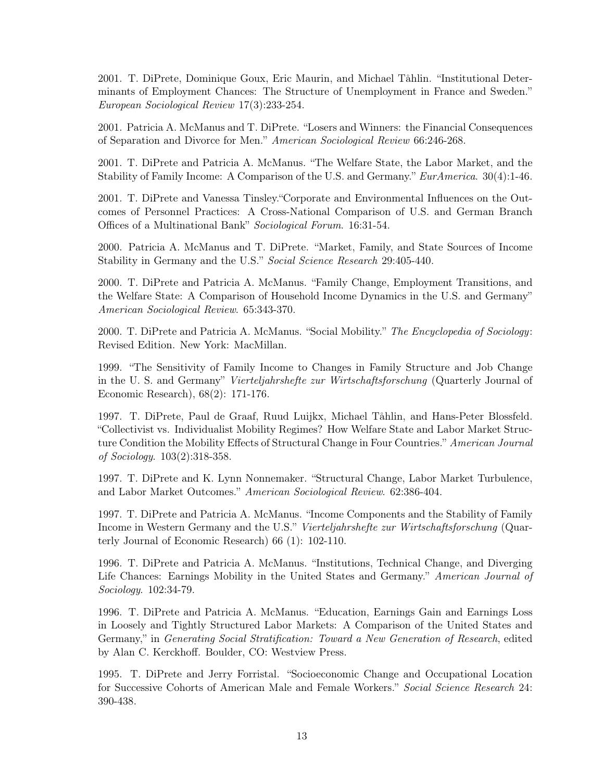2001. T. DiPrete, Dominique Goux, Eric Maurin, and Michael Tåhlin. "Institutional Determinants of Employment Chances: The Structure of Unemployment in France and Sweden." European Sociological Review 17(3):233-254.

2001. Patricia A. McManus and T. DiPrete. "Losers and Winners: the Financial Consequences of Separation and Divorce for Men." American Sociological Review 66:246-268.

2001. T. DiPrete and Patricia A. McManus. "The Welfare State, the Labor Market, and the Stability of Family Income: A Comparison of the U.S. and Germany." EurAmerica. 30(4):1-46.

2001. T. DiPrete and Vanessa Tinsley."Corporate and Environmental Influences on the Outcomes of Personnel Practices: A Cross-National Comparison of U.S. and German Branch Offices of a Multinational Bank" Sociological Forum. 16:31-54.

2000. Patricia A. McManus and T. DiPrete. "Market, Family, and State Sources of Income Stability in Germany and the U.S." Social Science Research 29:405-440.

2000. T. DiPrete and Patricia A. McManus. "Family Change, Employment Transitions, and the Welfare State: A Comparison of Household Income Dynamics in the U.S. and Germany" American Sociological Review. 65:343-370.

2000. T. DiPrete and Patricia A. McManus. "Social Mobility." The Encyclopedia of Sociology: Revised Edition. New York: MacMillan.

1999. "The Sensitivity of Family Income to Changes in Family Structure and Job Change in the U. S. and Germany" Vierteljahrshefte zur Wirtschaftsforschung (Quarterly Journal of Economic Research), 68(2): 171-176.

1997. T. DiPrete, Paul de Graaf, Ruud Luijkx, Michael Tåhlin, and Hans-Peter Blossfeld. "Collectivist vs. Individualist Mobility Regimes? How Welfare State and Labor Market Structure Condition the Mobility Effects of Structural Change in Four Countries." American Journal of Sociology. 103(2):318-358.

1997. T. DiPrete and K. Lynn Nonnemaker. "Structural Change, Labor Market Turbulence, and Labor Market Outcomes." American Sociological Review. 62:386-404.

1997. T. DiPrete and Patricia A. McManus. "Income Components and the Stability of Family Income in Western Germany and the U.S." Vierteljahrshefte zur Wirtschaftsforschung (Quarterly Journal of Economic Research) 66 (1): 102-110.

1996. T. DiPrete and Patricia A. McManus. "Institutions, Technical Change, and Diverging Life Chances: Earnings Mobility in the United States and Germany." American Journal of Sociology. 102:34-79.

1996. T. DiPrete and Patricia A. McManus. "Education, Earnings Gain and Earnings Loss in Loosely and Tightly Structured Labor Markets: A Comparison of the United States and Germany," in Generating Social Stratification: Toward a New Generation of Research, edited by Alan C. Kerckhoff. Boulder, CO: Westview Press.

1995. T. DiPrete and Jerry Forristal. "Socioeconomic Change and Occupational Location for Successive Cohorts of American Male and Female Workers." Social Science Research 24: 390-438.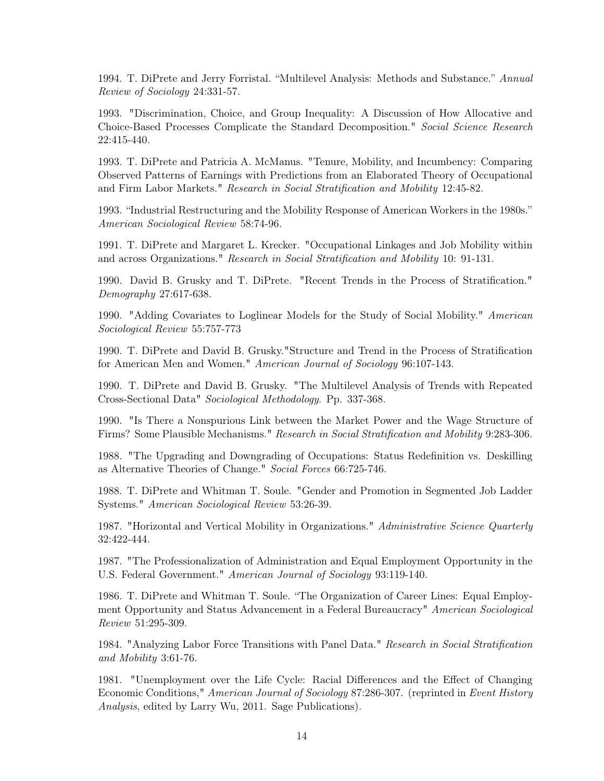1994. T. DiPrete and Jerry Forristal. "Multilevel Analysis: Methods and Substance." Annual Review of Sociology 24:331-57.

1993. "Discrimination, Choice, and Group Inequality: A Discussion of How Allocative and Choice-Based Processes Complicate the Standard Decomposition." Social Science Research 22:415-440.

1993. T. DiPrete and Patricia A. McManus. "Tenure, Mobility, and Incumbency: Comparing Observed Patterns of Earnings with Predictions from an Elaborated Theory of Occupational and Firm Labor Markets." Research in Social Stratification and Mobility 12:45-82.

1993. "Industrial Restructuring and the Mobility Response of American Workers in the 1980s." American Sociological Review 58:74-96.

1991. T. DiPrete and Margaret L. Krecker. "Occupational Linkages and Job Mobility within and across Organizations." Research in Social Stratification and Mobility 10: 91-131.

1990. David B. Grusky and T. DiPrete. "Recent Trends in the Process of Stratification." Demography 27:617-638.

1990. "Adding Covariates to Loglinear Models for the Study of Social Mobility." American Sociological Review 55:757-773

1990. T. DiPrete and David B. Grusky."Structure and Trend in the Process of Stratification for American Men and Women." American Journal of Sociology 96:107-143.

1990. T. DiPrete and David B. Grusky. "The Multilevel Analysis of Trends with Repeated Cross-Sectional Data" Sociological Methodology. Pp. 337-368.

1990. "Is There a Nonspurious Link between the Market Power and the Wage Structure of Firms? Some Plausible Mechanisms." Research in Social Stratification and Mobility 9:283-306.

1988. "The Upgrading and Downgrading of Occupations: Status Redefinition vs. Deskilling as Alternative Theories of Change." Social Forces 66:725-746.

1988. T. DiPrete and Whitman T. Soule. "Gender and Promotion in Segmented Job Ladder Systems." American Sociological Review 53:26-39.

1987. "Horizontal and Vertical Mobility in Organizations." Administrative Science Quarterly 32:422-444.

1987. "The Professionalization of Administration and Equal Employment Opportunity in the U.S. Federal Government." American Journal of Sociology 93:119-140.

1986. T. DiPrete and Whitman T. Soule. "The Organization of Career Lines: Equal Employment Opportunity and Status Advancement in a Federal Bureaucracy" American Sociological Review 51:295-309.

1984. "Analyzing Labor Force Transitions with Panel Data." Research in Social Stratification and Mobility 3:61-76.

1981. "Unemployment over the Life Cycle: Racial Differences and the Effect of Changing Economic Conditions," American Journal of Sociology 87:286-307. (reprinted in Event History Analysis, edited by Larry Wu, 2011. Sage Publications).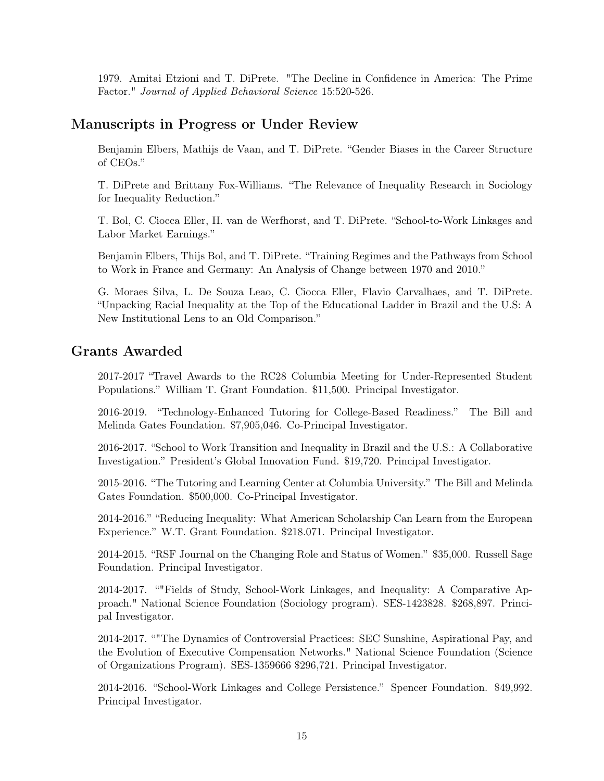1979. Amitai Etzioni and T. DiPrete. "The Decline in Confidence in America: The Prime Factor." Journal of Applied Behavioral Science 15:520-526.

### Manuscripts in Progress or Under Review

Benjamin Elbers, Mathijs de Vaan, and T. DiPrete. "Gender Biases in the Career Structure of CEOs."

T. DiPrete and Brittany Fox-Williams. "The Relevance of Inequality Research in Sociology for Inequality Reduction."

T. Bol, C. Ciocca Eller, H. van de Werfhorst, and T. DiPrete. "School-to-Work Linkages and Labor Market Earnings."

Benjamin Elbers, Thijs Bol, and T. DiPrete. "Training Regimes and the Pathways from School to Work in France and Germany: An Analysis of Change between 1970 and 2010."

G. Moraes Silva, L. De Souza Leao, C. Ciocca Eller, Flavio Carvalhaes, and T. DiPrete. "Unpacking Racial Inequality at the Top of the Educational Ladder in Brazil and the U.S: A New Institutional Lens to an Old Comparison."

## Grants Awarded

2017-2017 "Travel Awards to the RC28 Columbia Meeting for Under-Represented Student Populations." William T. Grant Foundation. \$11,500. Principal Investigator.

2016-2019. "Technology-Enhanced Tutoring for College-Based Readiness." The Bill and Melinda Gates Foundation. \$7,905,046. Co-Principal Investigator.

2016-2017. "School to Work Transition and Inequality in Brazil and the U.S.: A Collaborative Investigation." President's Global Innovation Fund. \$19,720. Principal Investigator.

2015-2016. "The Tutoring and Learning Center at Columbia University." The Bill and Melinda Gates Foundation. \$500,000. Co-Principal Investigator.

2014-2016." "Reducing Inequality: What American Scholarship Can Learn from the European Experience." W.T. Grant Foundation. \$218.071. Principal Investigator.

2014-2015. "RSF Journal on the Changing Role and Status of Women." \$35,000. Russell Sage Foundation. Principal Investigator.

2014-2017. ""Fields of Study, School-Work Linkages, and Inequality: A Comparative Approach." National Science Foundation (Sociology program). SES-1423828. \$268,897. Principal Investigator.

2014-2017. ""The Dynamics of Controversial Practices: SEC Sunshine, Aspirational Pay, and the Evolution of Executive Compensation Networks." National Science Foundation (Science of Organizations Program). SES-1359666 \$296,721. Principal Investigator.

2014-2016. "School-Work Linkages and College Persistence." Spencer Foundation. \$49,992. Principal Investigator.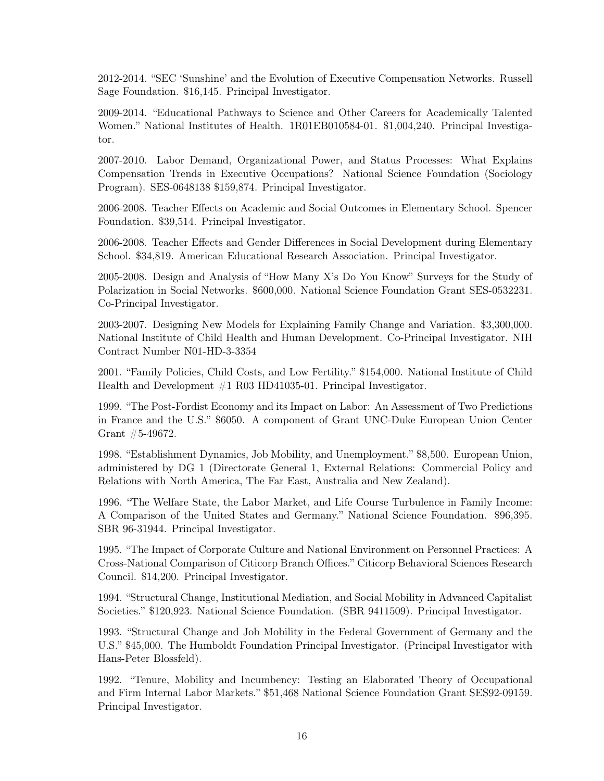2012-2014. "SEC 'Sunshine' and the Evolution of Executive Compensation Networks. Russell Sage Foundation. \$16,145. Principal Investigator.

2009-2014. "Educational Pathways to Science and Other Careers for Academically Talented Women." National Institutes of Health. 1R01EB010584-01. \$1,004,240. Principal Investigator.

2007-2010. Labor Demand, Organizational Power, and Status Processes: What Explains Compensation Trends in Executive Occupations? National Science Foundation (Sociology Program). SES-0648138 \$159,874. Principal Investigator.

2006-2008. Teacher Effects on Academic and Social Outcomes in Elementary School. Spencer Foundation. \$39,514. Principal Investigator.

2006-2008. Teacher Effects and Gender Differences in Social Development during Elementary School. \$34,819. American Educational Research Association. Principal Investigator.

2005-2008. Design and Analysis of "How Many X's Do You Know" Surveys for the Study of Polarization in Social Networks. \$600,000. National Science Foundation Grant SES-0532231. Co-Principal Investigator.

2003-2007. Designing New Models for Explaining Family Change and Variation. \$3,300,000. National Institute of Child Health and Human Development. Co-Principal Investigator. NIH Contract Number N01-HD-3-3354

2001. "Family Policies, Child Costs, and Low Fertility." \$154,000. National Institute of Child Health and Development  $\#1$  R03 HD41035-01. Principal Investigator.

1999. "The Post-Fordist Economy and its Impact on Labor: An Assessment of Two Predictions in France and the U.S." \$6050. A component of Grant UNC-Duke European Union Center Grant #5-49672.

1998. "Establishment Dynamics, Job Mobility, and Unemployment." \$8,500. European Union, administered by DG 1 (Directorate General 1, External Relations: Commercial Policy and Relations with North America, The Far East, Australia and New Zealand).

1996. "The Welfare State, the Labor Market, and Life Course Turbulence in Family Income: A Comparison of the United States and Germany." National Science Foundation. \$96,395. SBR 96-31944. Principal Investigator.

1995. "The Impact of Corporate Culture and National Environment on Personnel Practices: A Cross-National Comparison of Citicorp Branch Offices." Citicorp Behavioral Sciences Research Council. \$14,200. Principal Investigator.

1994. "Structural Change, Institutional Mediation, and Social Mobility in Advanced Capitalist Societies." \$120,923. National Science Foundation. (SBR 9411509). Principal Investigator.

1993. "Structural Change and Job Mobility in the Federal Government of Germany and the U.S." \$45,000. The Humboldt Foundation Principal Investigator. (Principal Investigator with Hans-Peter Blossfeld).

1992. "Tenure, Mobility and Incumbency: Testing an Elaborated Theory of Occupational and Firm Internal Labor Markets." \$51,468 National Science Foundation Grant SES92-09159. Principal Investigator.